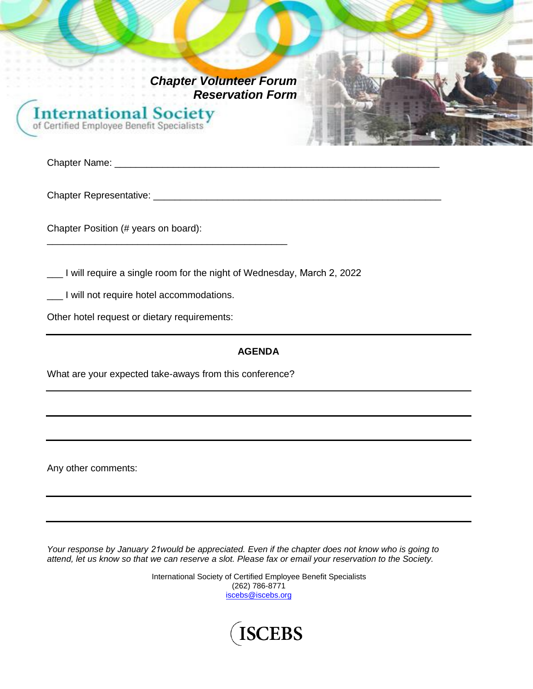*Chapter Volunteer Forum Reservation Form*

**International Society** of Certified Employee Benefit Specialists

Chapter Name: \_\_\_\_\_\_\_\_\_\_\_\_\_\_\_\_\_\_\_\_\_\_\_\_\_\_\_\_\_\_\_\_\_\_\_\_\_\_\_\_\_\_\_\_\_\_\_\_\_\_\_\_\_\_\_\_\_\_\_\_\_

Chapter Representative: \_\_\_\_\_\_\_\_\_\_\_\_\_\_\_\_\_\_\_\_\_\_\_\_\_\_\_\_\_\_\_\_\_\_\_\_\_\_\_\_\_\_\_\_\_\_\_\_\_\_\_\_\_\_

Chapter Position (# years on board):

\_\_\_ I will require a single room for the night of Wednesday, March 2, 2022

\_\_\_ I will not require hotel accommodations.

Other hotel request or dietary requirements:

### **AGENDA**

What are your expected take-aways from this conference?

\_\_\_\_\_\_\_\_\_\_\_\_\_\_\_\_\_\_\_\_\_\_\_\_\_\_\_\_\_\_\_\_\_\_\_\_\_\_\_\_\_\_\_\_\_

Any other comments:

*Your response by January 21would be appreciated. Even if the chapter does not know who is going to attend, let us know so that we can reserve a slot. Please fax or email your reservation to the Society.* 

> International Society of Certified Employee Benefit Specialists (262) 786-8771 [iscebs@iscebs.org](mailto:iscebs@iscebs.org)